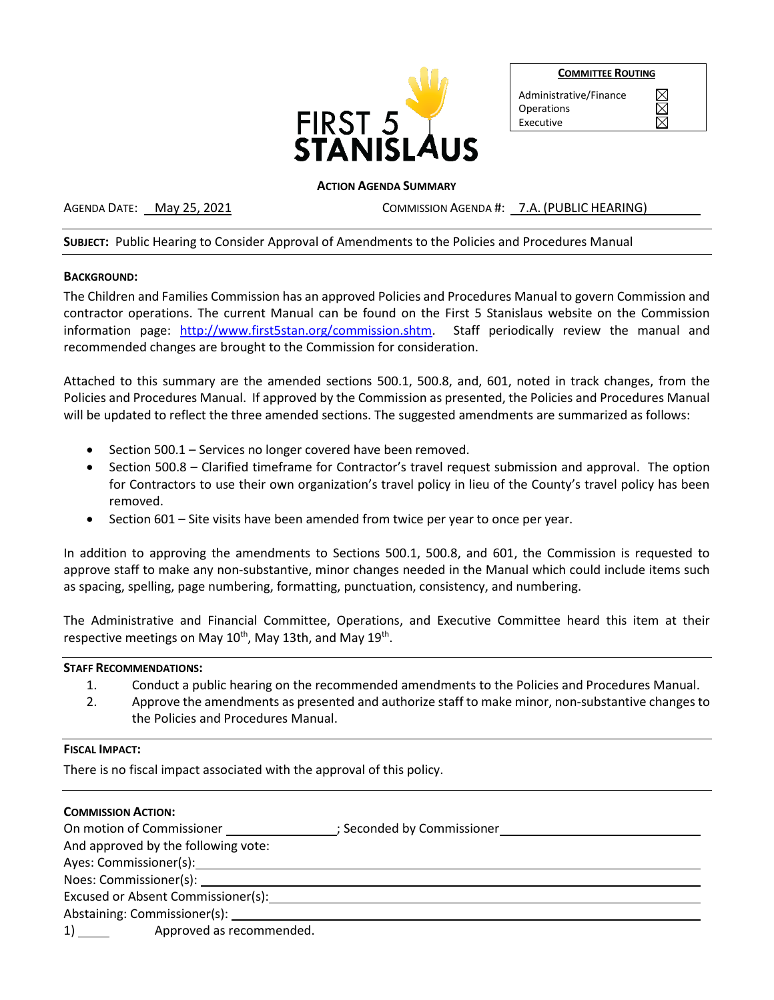

**COMMITTEE ROUTING**

Administrative/Finance

**Operations** Executive

### **ACTION AGENDA SUMMARY**

AGENDA DATE: May 25, 2021 COMMISSION AGENDA #: 7.A. (PUBLIC HEARING)

# **SUBJECT:** Public Hearing to Consider Approval of Amendments to the Policies and Procedures Manual

#### **BACKGROUND:**

The Children and Families Commission has an approved Policies and Procedures Manual to govern Commission and contractor operations. The current Manual can be found on the First 5 Stanislaus website on the Commission information page: [http://www.first5stan.org/commission.shtm.](http://www.first5stan.org/commission.shtm) Staff periodically review the manual and recommended changes are brought to the Commission for consideration.

Attached to this summary are the amended sections 500.1, 500.8, and, 601, noted in track changes, from the Policies and Procedures Manual. If approved by the Commission as presented, the Policies and Procedures Manual will be updated to reflect the three amended sections. The suggested amendments are summarized as follows:

- Section 500.1 Services no longer covered have been removed.
- Section 500.8 Clarified timeframe for Contractor's travel request submission and approval. The option for Contractors to use their own organization's travel policy in lieu of the County's travel policy has been removed.
- Section 601 Site visits have been amended from twice per year to once per year.

In addition to approving the amendments to Sections 500.1, 500.8, and 601, the Commission is requested to approve staff to make any non-substantive, minor changes needed in the Manual which could include items such as spacing, spelling, page numbering, formatting, punctuation, consistency, and numbering.

The Administrative and Financial Committee, Operations, and Executive Committee heard this item at their respective meetings on May 10<sup>th</sup>, May 13th, and May 19<sup>th</sup>.

# **STAFF RECOMMENDATIONS:**

- 1. Conduct a public hearing on the recommended amendments to the Policies and Procedures Manual.
- 2. Approve the amendments as presented and authorize staff to make minor, non-substantive changes to the Policies and Procedures Manual.

# **FISCAL IMPACT:**

There is no fiscal impact associated with the approval of this policy.

| <b>COMMISSION ACTION:</b>                                                                                                                                                                                                     |                                                                                                      |
|-------------------------------------------------------------------------------------------------------------------------------------------------------------------------------------------------------------------------------|------------------------------------------------------------------------------------------------------|
|                                                                                                                                                                                                                               | On motion of Commissioner ____________________; Seconded by Commissioner ___________________________ |
| And approved by the following vote:                                                                                                                                                                                           |                                                                                                      |
|                                                                                                                                                                                                                               |                                                                                                      |
|                                                                                                                                                                                                                               |                                                                                                      |
| Excused or Absent Commissioner(s):                                                                                                                                                                                            |                                                                                                      |
| Abstaining: Commissioner(s): Notified that the state of the state of the state of the state of the state of the state of the state of the state of the state of the state of the state of the state of the state of the state |                                                                                                      |
| Approved as recommended.                                                                                                                                                                                                      |                                                                                                      |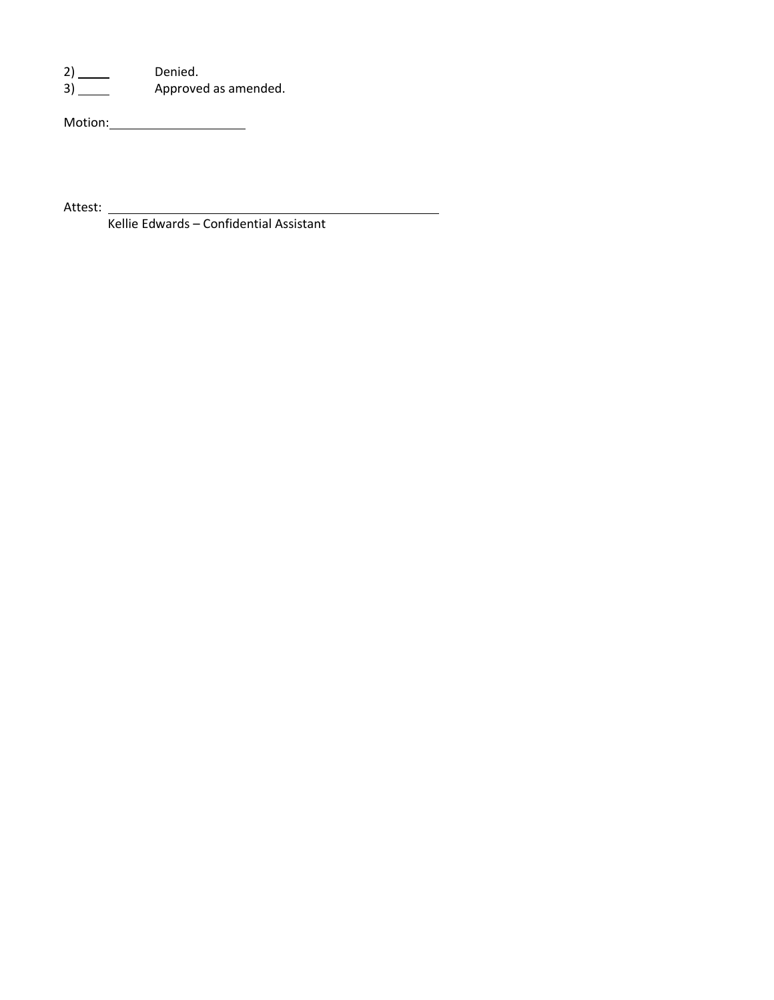2) Denied.

3) Same Approved as amended.

Motion: Next Control of the Motion of the Motion of the Motion of the Motion of the Motion of the Motion of the Motion of the Motion of the Motion of the Motion of the Motion of the Motion of the Motion of the Motion of th

Attest: \_\_\_\_\_\_\_\_\_\_\_

Kellie Edwards – Confidential Assistant